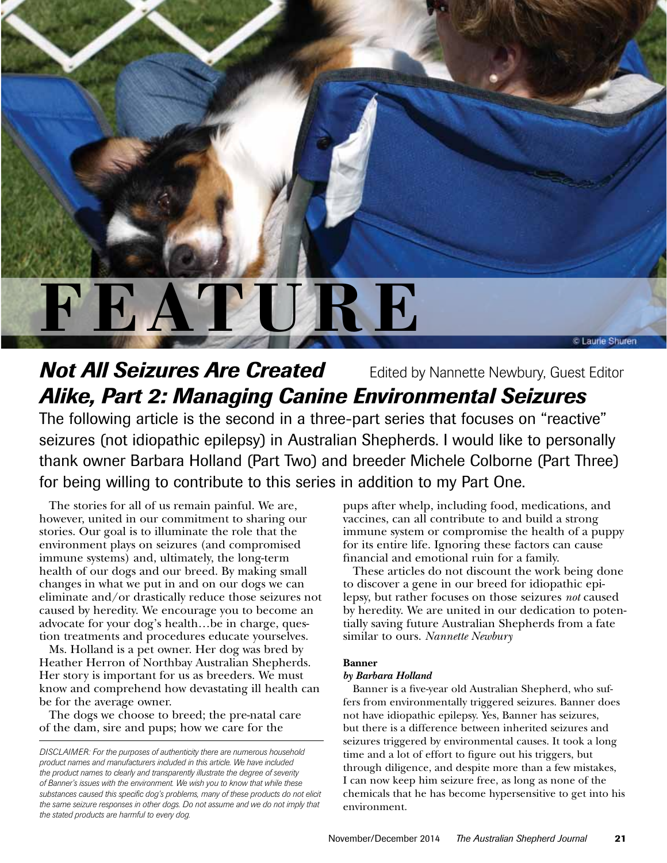

# **Not All Seizures Are Created** Edited by Nannette Newbury, Guest Editor *Alike, Part 2: Managing Canine Environmental Seizures*

The following article is the second in a three-part series that focuses on "reactive" seizures (not idiopathic epilepsy) in Australian Shepherds. I would like to personally thank owner Barbara Holland (Part Two) and breeder Michele Colborne (Part Three) for being willing to contribute to this series in addition to my Part One.

The stories for all of us remain painful. We are, however, united in our commitment to sharing our stories. Our goal is to illuminate the role that the environment plays on seizures (and compromised immune systems) and, ultimately, the long-term health of our dogs and our breed. By making small changes in what we put in and on our dogs we can eliminate and/or drastically reduce those seizures not caused by heredity. We encourage you to become an advocate for your dog's health…be in charge, question treatments and procedures educate yourselves.

Ms. Holland is a pet owner. Her dog was bred by Heather Herron of Northbay Australian Shepherds. Her story is important for us as breeders. We must know and comprehend how devastating ill health can be for the average owner.

The dogs we choose to breed; the pre-natal care of the dam, sire and pups; how we care for the

pups after whelp, including food, medications, and vaccines, can all contribute to and build a strong immune system or compromise the health of a puppy for its entire life. Ignoring these factors can cause financial and emotional ruin for a family.

These articles do not discount the work being done to discover a gene in our breed for idiopathic epilepsy, but rather focuses on those seizures *not* caused by heredity. We are united in our dedication to potentially saving future Australian Shepherds from a fate similar to ours. *Nannette Newbury*

# **Banner**

# *by Barbara Holland*

Banner is a five-year old Australian Shepherd, who suffers from environmentally triggered seizures. Banner does not have idiopathic epilepsy. Yes, Banner has seizures, but there is a difference between inherited seizures and seizures triggered by environmental causes. It took a long time and a lot of effort to figure out his triggers, but through diligence, and despite more than a few mistakes, I can now keep him seizure free, as long as none of the chemicals that he has become hypersensitive to get into his environment.

*DISCLAIMER: For the purposes of authenticity there are numerous household product names and manufacturers included in this article. We have included the product names to clearly and transparently illustrate the degree of severity of Banner's issues with the environment. We wish you to know that while these substances caused this specific dog's problems, many of these products do not elicit the same seizure responses in other dogs. Do not assume and we do not imply that the stated products are harmful to every dog.*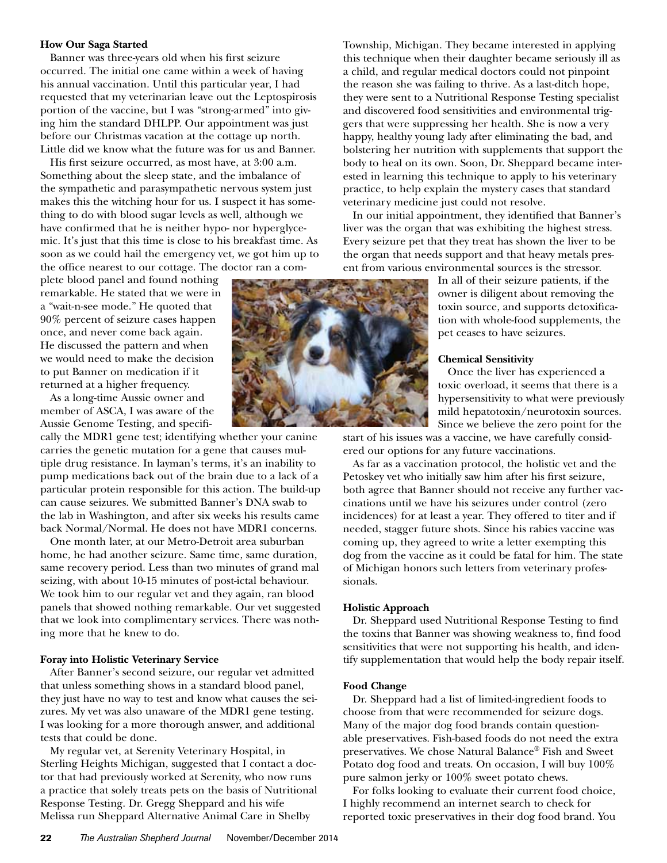# **How Our Saga Started**

Banner was three-years old when his first seizure occurred. The initial one came within a week of having his annual vaccination. Until this particular year, I had requested that my veterinarian leave out the Leptospirosis portion of the vaccine, but I was "strong-armed" into giving him the standard DHLPP. Our appointment was just before our Christmas vacation at the cottage up north. Little did we know what the future was for us and Banner.

His first seizure occurred, as most have, at 3:00 a.m. Something about the sleep state, and the imbalance of the sympathetic and parasympathetic nervous system just makes this the witching hour for us. I suspect it has something to do with blood sugar levels as well, although we have confirmed that he is neither hypo- nor hyperglycemic. It's just that this time is close to his breakfast time. As soon as we could hail the emergency vet, we got him up to the office nearest to our cottage. The doctor ran a com-

plete blood panel and found nothing remarkable. He stated that we were in a "wait-n-see mode." He quoted that 90% percent of seizure cases happen once, and never come back again. He discussed the pattern and when we would need to make the decision to put Banner on medication if it returned at a higher frequency.

As a long-time Aussie owner and member of ASCA, I was aware of the Aussie Genome Testing, and specifi-

cally the MDR1 gene test; identifying whether your canine carries the genetic mutation for a gene that causes multiple drug resistance. In layman's terms, it's an inability to pump medications back out of the brain due to a lack of a particular protein responsible for this action. The build-up can cause seizures. We submitted Banner's DNA swab to the lab in Washington, and after six weeks his results came back Normal/Normal. He does not have MDR1 concerns.

One month later, at our Metro-Detroit area suburban home, he had another seizure. Same time, same duration, same recovery period. Less than two minutes of grand mal seizing, with about 10-15 minutes of post-ictal behaviour. We took him to our regular vet and they again, ran blood panels that showed nothing remarkable. Our vet suggested that we look into complimentary services. There was nothing more that he knew to do.

# **Foray into Holistic Veterinary Service**

After Banner's second seizure, our regular vet admitted that unless something shows in a standard blood panel, they just have no way to test and know what causes the seizures. My vet was also unaware of the MDR1 gene testing. I was looking for a more thorough answer, and additional tests that could be done.

My regular vet, at Serenity Veterinary Hospital, in Sterling Heights Michigan, suggested that I contact a doctor that had previously worked at Serenity, who now runs a practice that solely treats pets on the basis of Nutritional Response Testing. Dr. Gregg Sheppard and his wife Melissa run Sheppard Alternative Animal Care in Shelby



Township, Michigan. They became interested in applying this technique when their daughter became seriously ill as a child, and regular medical doctors could not pinpoint the reason she was failing to thrive. As a last-ditch hope, they were sent to a Nutritional Response Testing specialist and discovered food sensitivities and environmental triggers that were suppressing her health. She is now a very happy, healthy young lady after eliminating the bad, and bolstering her nutrition with supplements that support the body to heal on its own. Soon, Dr. Sheppard became interested in learning this technique to apply to his veterinary practice, to help explain the mystery cases that standard veterinary medicine just could not resolve.

In our initial appointment, they identified that Banner's liver was the organ that was exhibiting the highest stress. Every seizure pet that they treat has shown the liver to be the organ that needs support and that heavy metals present from various environmental sources is the stressor.

> In all of their seizure patients, if the owner is diligent about removing the toxin source, and supports detoxification with whole-food supplements, the pet ceases to have seizures.

#### **Chemical Sensitivity**

Once the liver has experienced a toxic overload, it seems that there is a hypersensitivity to what were previously mild hepatotoxin/neurotoxin sources. Since we believe the zero point for the

start of his issues was a vaccine, we have carefully considered our options for any future vaccinations.

As far as a vaccination protocol, the holistic vet and the Petoskey vet who initially saw him after his first seizure, both agree that Banner should not receive any further vaccinations until we have his seizures under control (zero incidences) for at least a year. They offered to titer and if needed, stagger future shots. Since his rabies vaccine was coming up, they agreed to write a letter exempting this dog from the vaccine as it could be fatal for him. The state of Michigan honors such letters from veterinary professionals.

### **Holistic Approach**

Dr. Sheppard used Nutritional Response Testing to find the toxins that Banner was showing weakness to, find food sensitivities that were not supporting his health, and identify supplementation that would help the body repair itself.

#### **Food Change**

Dr. Sheppard had a list of limited-ingredient foods to choose from that were recommended for seizure dogs. Many of the major dog food brands contain questionable preservatives. Fish-based foods do not need the extra preservatives. We chose Natural Balance® Fish and Sweet Potato dog food and treats. On occasion, I will buy 100% pure salmon jerky or 100% sweet potato chews.

For folks looking to evaluate their current food choice, I highly recommend an internet search to check for reported toxic preservatives in their dog food brand. You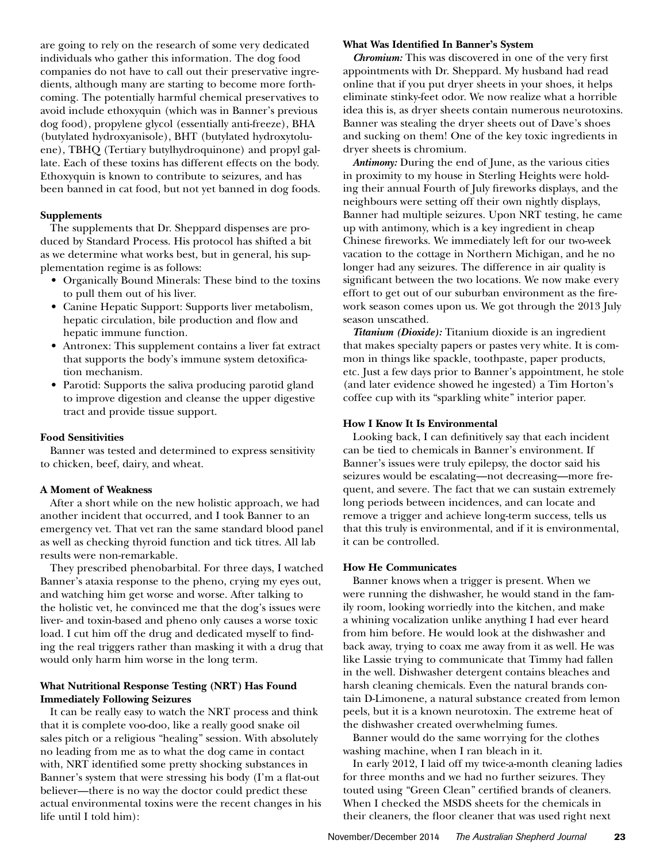are going to rely on the research of some very dedicated individuals who gather this information. The dog food companies do not have to call out their preservative ingredients, although many are starting to become more forthcoming. The potentially harmful chemical preservatives to avoid include ethoxyquin (which was in Banner's previous dog food), propylene glycol (essentially anti-freeze), BHA (butylated hydroxyanisole), BHT (butylated hydroxytoluene), TBHQ (Tertiary butylhydroquinone) and propyl gallate. Each of these toxins has different effects on the body. Ethoxyquin is known to contribute to seizures, and has been banned in cat food, but not yet banned in dog foods.

# **Supplements**

The supplements that Dr. Sheppard dispenses are produced by Standard Process. His protocol has shifted a bit as we determine what works best, but in general, his supplementation regime is as follows:

- • Organically Bound Minerals: These bind to the toxins to pull them out of his liver.
- • Canine Hepatic Support: Supports liver metabolism, hepatic circulation, bile production and flow and hepatic immune function.
- Antronex: This supplement contains a liver fat extract that supports the body's immune system detoxification mechanism.
- Parotid: Supports the saliva producing parotid gland to improve digestion and cleanse the upper digestive tract and provide tissue support.

# **Food Sensitivities**

Banner was tested and determined to express sensitivity to chicken, beef, dairy, and wheat.

# **A Moment of Weakness**

After a short while on the new holistic approach, we had another incident that occurred, and I took Banner to an emergency vet. That vet ran the same standard blood panel as well as checking thyroid function and tick titres. All lab results were non-remarkable.

They prescribed phenobarbital. For three days, I watched Banner's ataxia response to the pheno, crying my eyes out, and watching him get worse and worse. After talking to the holistic vet, he convinced me that the dog's issues were liver- and toxin-based and pheno only causes a worse toxic load. I cut him off the drug and dedicated myself to finding the real triggers rather than masking it with a drug that would only harm him worse in the long term.

# **What Nutritional Response Testing (NRT) Has Found Immediately Following Seizures**

It can be really easy to watch the NRT process and think that it is complete voo-doo, like a really good snake oil sales pitch or a religious "healing" session. With absolutely no leading from me as to what the dog came in contact with, NRT identified some pretty shocking substances in Banner's system that were stressing his body (I'm a flat-out believer—there is no way the doctor could predict these actual environmental toxins were the recent changes in his life until I told him):

#### **What Was Identified In Banner's System**

*Chromium:* This was discovered in one of the very first appointments with Dr. Sheppard. My husband had read online that if you put dryer sheets in your shoes, it helps eliminate stinky-feet odor. We now realize what a horrible idea this is, as dryer sheets contain numerous neurotoxins. Banner was stealing the dryer sheets out of Dave's shoes and sucking on them! One of the key toxic ingredients in dryer sheets is chromium.

*Antimony:* During the end of June, as the various cities in proximity to my house in Sterling Heights were holding their annual Fourth of July fireworks displays, and the neighbours were setting off their own nightly displays, Banner had multiple seizures. Upon NRT testing, he came up with antimony, which is a key ingredient in cheap Chinese fireworks. We immediately left for our two-week vacation to the cottage in Northern Michigan, and he no longer had any seizures. The difference in air quality is significant between the two locations. We now make every effort to get out of our suburban environment as the firework season comes upon us. We got through the 2013 July season unscathed.

*Titanium (Dioxide):* Titanium dioxide is an ingredient that makes specialty papers or pastes very white. It is common in things like spackle, toothpaste, paper products, etc. Just a few days prior to Banner's appointment, he stole (and later evidence showed he ingested) a Tim Horton's coffee cup with its "sparkling white" interior paper.

# **How I Know It Is Environmental**

Looking back, I can definitively say that each incident can be tied to chemicals in Banner's environment. If Banner's issues were truly epilepsy, the doctor said his seizures would be escalating—not decreasing—more frequent, and severe. The fact that we can sustain extremely long periods between incidences, and can locate and remove a trigger and achieve long-term success, tells us that this truly is environmental, and if it is environmental, it can be controlled.

# **How He Communicates**

Banner knows when a trigger is present. When we were running the dishwasher, he would stand in the family room, looking worriedly into the kitchen, and make a whining vocalization unlike anything I had ever heard from him before. He would look at the dishwasher and back away, trying to coax me away from it as well. He was like Lassie trying to communicate that Timmy had fallen in the well. Dishwasher detergent contains bleaches and harsh cleaning chemicals. Even the natural brands contain D-Limonene, a natural substance created from lemon peels, but it is a known neurotoxin. The extreme heat of the dishwasher created overwhelming fumes.

Banner would do the same worrying for the clothes washing machine, when I ran bleach in it.

In early 2012, I laid off my twice-a-month cleaning ladies for three months and we had no further seizures. They touted using "Green Clean" certified brands of cleaners. When I checked the MSDS sheets for the chemicals in their cleaners, the floor cleaner that was used right next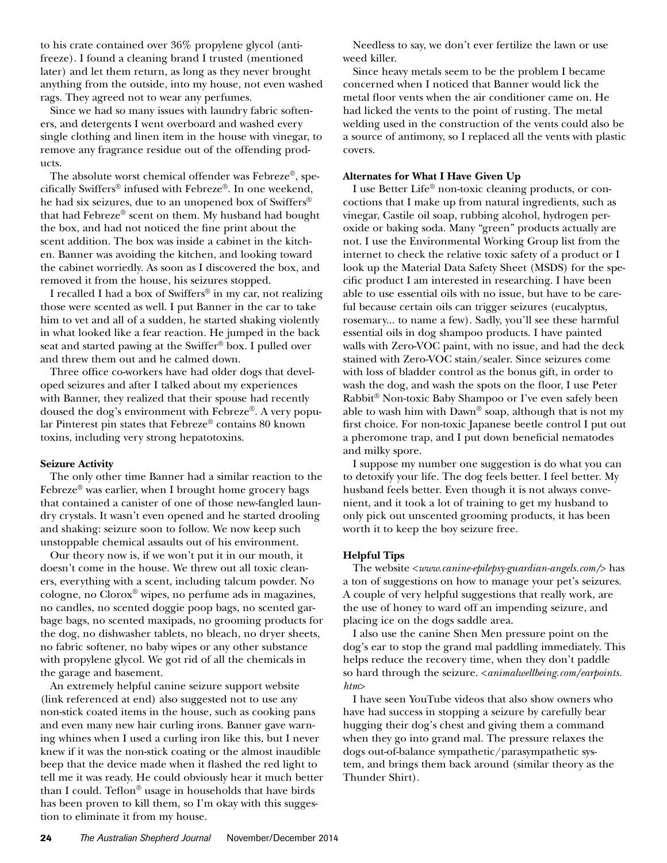to his crate contained over 36% propylene glycol (antifreeze). I found a cleaning brand I trusted (mentioned later) and let them return, as long as they never brought anything from the outside, into my house, not even washed rags. They agreed not to wear any perfumes.

Since we had so many issues with laundry fabric softeners, and detergents I went overboard and washed every single clothing and linen item in the house with vinegar, to remove any fragrance residue out of the offending products.

The absolute worst chemical offender was Febreze®, specifically Swiffers® infused with Febreze®. In one weekend, he had six seizures, due to an unopened box of Swiffers® that had Febreze® scent on them. My husband had bought the box, and had not noticed the fine print about the scent addition. The box was inside a cabinet in the kitchen. Banner was avoiding the kitchen, and looking toward the cabinet worriedly. As soon as I discovered the box, and removed it from the house, his seizures stopped.

I recalled I had a box of Swiffers® in my car, not realizing those were scented as well. I put Banner in the car to take him to vet and all of a sudden, he started shaking violently in what looked like a fear reaction. He jumped in the back seat and started pawing at the Swiffer® box. I pulled over and threw them out and he calmed down.

Three office co-workers have had older dogs that developed seizures and after I talked about my experiences with Banner, they realized that their spouse had recently doused the dog's environment with Febreze®. A very popular Pinterest pin states that Febreze® contains 80 known toxins, including very strong hepatotoxins.

# **Seizure Activity**

The only other time Banner had a similar reaction to the Febreze® was earlier, when I brought home grocery bags that contained a canister of one of those new-fangled laundry crystals. It wasn't even opened and he started drooling and shaking: seizure soon to follow. We now keep such unstoppable chemical assaults out of his environment.

Our theory now is, if we won't put it in our mouth, it doesn't come in the house. We threw out all toxic cleaners, everything with a scent, including talcum powder. No cologne, no Clorox® wipes, no perfume ads in magazines, no candles, no scented doggie poop bags, no scented garbage bags, no scented maxipads, no grooming products for the dog, no dishwasher tablets, no bleach, no dryer sheets, no fabric softener, no baby wipes or any other substance with propylene glycol. We got rid of all the chemicals in the garage and basement.

An extremely helpful canine seizure support website (link referenced at end) also suggested not to use any non-stick coated items in the house, such as cooking pans and even many new hair curling irons. Banner gave warning whines when I used a curling iron like this, but I never knew if it was the non-stick coating or the almost inaudible beep that the device made when it flashed the red light to tell me it was ready. He could obviously hear it much better than I could. Teflon® usage in households that have birds has been proven to kill them, so I'm okay with this suggestion to eliminate it from my house.

Needless to say, we don't ever fertilize the lawn or use weed killer.

Since heavy metals seem to be the problem I became concerned when I noticed that Banner would lick the metal floor vents when the air conditioner came on. He had licked the vents to the point of rusting. The metal welding used in the construction of the vents could also be a source of antimony, so I replaced all the vents with plastic covers.

# **Alternates for What I Have Given Up**

I use Better Life® non-toxic cleaning products, or concoctions that I make up from natural ingredients, such as vinegar, Castile oil soap, rubbing alcohol, hydrogen peroxide or baking soda. Many "green" products actually are not. I use the Environmental Working Group list from the internet to check the relative toxic safety of a product or I look up the Material Data Safety Sheet (MSDS) for the specific product I am interested in researching. I have been able to use essential oils with no issue, but have to be careful because certain oils can trigger seizures (eucalyptus, rosemary... to name a few). Sadly, you'll see these harmful essential oils in dog shampoo products. I have painted walls with Zero-VOC paint, with no issue, and had the deck stained with Zero-VOC stain/sealer. Since seizures come with loss of bladder control as the bonus gift, in order to wash the dog, and wash the spots on the floor, I use Peter Rabbit® Non-toxic Baby Shampoo or I've even safely been able to wash him with  $Dawn^{\circledast}$  soap, although that is not my first choice. For non-toxic Japanese beetle control I put out a pheromone trap, and I put down beneficial nematodes and milky spore.

I suppose my number one suggestion is do what you can to detoxify your life. The dog feels better. I feel better. My husband feels better. Even though it is not always convenient, and it took a lot of training to get my husband to only pick out unscented grooming products, it has been worth it to keep the boy seizure free.

# **Helpful Tips**

The website <*www.canine-epilepsy-guardian-angels.com/*> has a ton of suggestions on how to manage your pet's seizures. A couple of very helpful suggestions that really work, are the use of honey to ward off an impending seizure, and placing ice on the dogs saddle area.

I also use the canine Shen Men pressure point on the dog's ear to stop the grand mal paddling immediately. This helps reduce the recovery time, when they don't paddle so hard through the seizure. <*animalwellbeing.com/earpoints. htm*>

I have seen YouTube videos that also show owners who have had success in stopping a seizure by carefully bear hugging their dog's chest and giving them a command when they go into grand mal. The pressure relaxes the dogs out-of-balance sympathetic/parasympathetic system, and brings them back around (similar theory as the Thunder Shirt).